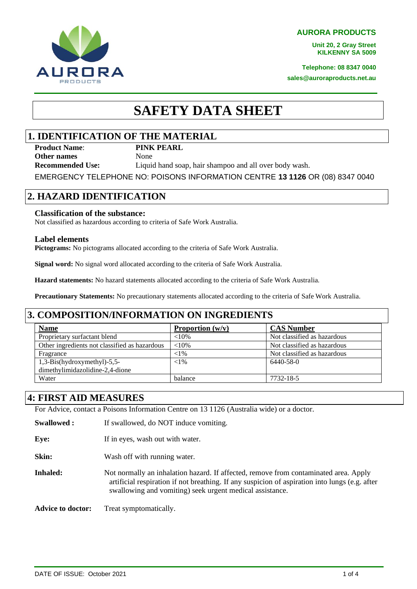**AURORA PRODUCTS**

**Unit 20, 2 Gray Street KILKENNY SA 5009**

**Telephone: 08 8347 0040**

**sales@auroraproducts.net.au**

# **SAFETY DATA SHEET**

# **1. IDENTIFICATION OF THE MATERIAL**

**Product Name**: **PINK PEARL Other names** None

**Recommended Use:** Liquid hand soap, hair shampoo and all over body wash.

EMERGENCY TELEPHONE NO: POISONS INFORMATION CENTRE **13 1126** OR (08) 8347 0040

# **2. HAZARD IDENTIFICATION**

### **Classification of the substance:**

Not classified as hazardous according to criteria of Safe Work Australia.

#### **Label elements**

**Pictograms:** No pictograms allocated according to the criteria of Safe Work Australia.

**Signal word:** No signal word allocated according to the criteria of Safe Work Australia.

**Hazard statements:** No hazard statements allocated according to the criteria of Safe Work Australia.

**Precautionary Statements:** No precautionary statements allocated according to the criteria of Safe Work Australia.

### **3. COMPOSITION/INFORMATION ON INGREDIENTS**

| <b>Name</b>                                   | Proportion $(w/v)$ | <b>CAS Number</b>           |
|-----------------------------------------------|--------------------|-----------------------------|
| Proprietary surfactant blend                  | $<10\%$            | Not classified as hazardous |
| Other ingredients not classified as hazardous | ${<}10\%$          | Not classified as hazardous |
| Fragrance                                     | ${<}1\%$           | Not classified as hazardous |
| $1,3-Bis$ (hydroxymethyl)-5,5-                | ${<}1\%$           | $6440 - 58 - 0$             |
| dimethylimidazolidine-2,4-dione               |                    |                             |
| Water                                         | balance            | 7732-18-5                   |

### **4: FIRST AID MEASURES**

For Advice, contact a Poisons Information Centre on 13 1126 (Australia wide) or a doctor.

**Swallowed :** If swallowed, do NOT induce vomiting.

**Eye:** If in eyes, wash out with water.

**Skin:** Wash off with running water.

**Inhaled:** Not normally an inhalation hazard. If affected, remove from contaminated area. Apply artificial respiration if not breathing. If any suspicion of aspiration into lungs (e.g. after swallowing and vomiting) seek urgent medical assistance.

**Advice to doctor:** Treat symptomatically.



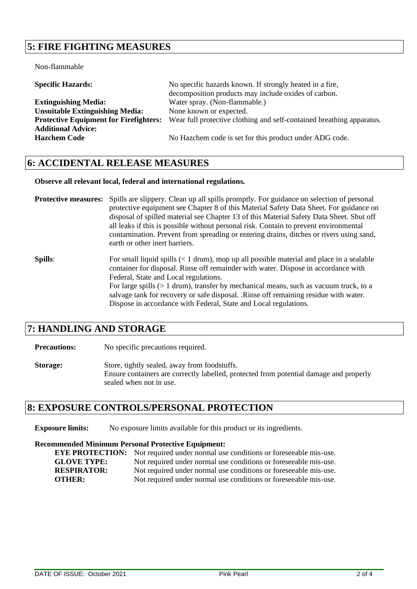# **5: FIRE FIGHTING MEASURES**

Non-flammable

| <b>Specific Hazards:</b>                      | No specific hazards known. If strongly heated in a fire,              |  |
|-----------------------------------------------|-----------------------------------------------------------------------|--|
|                                               | decomposition products may include oxides of carbon.                  |  |
| <b>Extinguishing Media:</b>                   | Water spray. (Non-flammable.)                                         |  |
| <b>Unsuitable Extinguishing Media:</b>        | None known or expected.                                               |  |
| <b>Protective Equipment for Firefighters:</b> | Wear full protective clothing and self-contained breathing apparatus. |  |
| <b>Additional Advice:</b>                     |                                                                       |  |
| <b>Hazchem Code</b>                           | No Hazchem code is set for this product under ADG code.               |  |

### **6: ACCIDENTAL RELEASE MEASURES**

#### **Observe all relevant local, federal and international regulations.**

**Protective measures:** Spills are slippery. Clean up all spills promptly. For guidance on selection of personal protective equipment see Chapter 8 of this Material Safety Data Sheet. For guidance on disposal of spilled material see Chapter 13 of this Material Safety Data Sheet. Shut off all leaks if this is possible without personal risk. Contain to prevent environmental contamination. Prevent from spreading or entering drains, ditches or rivers using sand, earth or other inert barriers.

**Spills**: For small liquid spills (< 1 drum), mop up all possible material and place in a sealable container for disposal. Rinse off remainder with water. Dispose in accordance with Federal, State and Local regulations. For large spills (> 1 drum), transfer by mechanical means, such as vacuum truck, to a salvage tank for recovery or safe disposal. .Rinse off remaining residue with water. Dispose in accordance with Federal, State and Local regulations.

### **7: HANDLING AND STORAGE**

**Precautions:** No specific precautions required.

**Storage:** Store, tightly sealed, away from foodstuffs. Ensure containers are correctly labelled, protected from potential damage and properly sealed when not in use.

### **8: EXPOSURE CONTROLS/PERSONAL PROTECTION**

**Exposure limits:** No exposure limits available for this product or its ingredients.

#### **Recommended Minimum Personal Protective Equipment:**

**EYE PROTECTION:** Not required under normal use conditions or foreseeable mis-use. **GLOVE TYPE:** Not required under normal use conditions or foreseeable mis-use. **RESPIRATOR:** Not required under normal use conditions or foreseeable mis-use. **OTHER:** Not required under normal use conditions or foreseeable mis-use.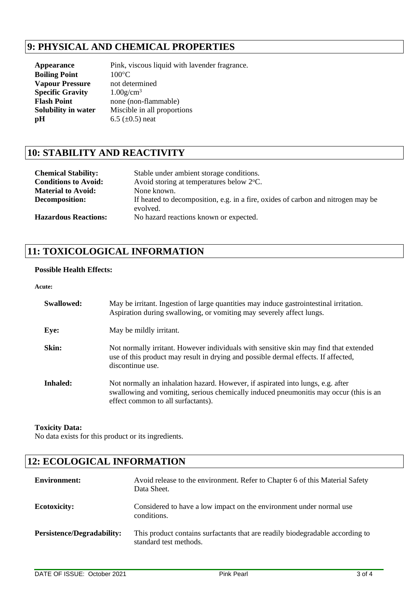# **9: PHYSICAL AND CHEMICAL PROPERTIES**

| <b>Appearance</b>       | Pink, viscous liquid with lavender fragrance. |
|-------------------------|-----------------------------------------------|
| <b>Boiling Point</b>    | $100^{\circ}$ C                               |
| <b>Vapour Pressure</b>  | not determined                                |
| <b>Specific Gravity</b> | $1.00$ g/cm <sup>3</sup>                      |
| <b>Flash Point</b>      | none (non-flammable)                          |
| Solubility in water     | Miscible in all proportions                   |
| pН                      | 6.5 $(\pm 0.5)$ neat                          |
|                         |                                               |

# **10: STABILITY AND REACTIVITY**

| <b>Chemical Stability:</b><br><b>Conditions to Avoid:</b> | Stable under ambient storage conditions.<br>Avoid storing at temperatures below 2 °C.        |
|-----------------------------------------------------------|----------------------------------------------------------------------------------------------|
| <b>Material to Avoid:</b>                                 | None known.                                                                                  |
| Decomposition:                                            | If heated to decomposition, e.g. in a fire, oxides of carbon and nitrogen may be<br>evolved. |
| <b>Hazardous Reactions:</b>                               | No hazard reactions known or expected.                                                       |

# **11: TOXICOLOGICAL INFORMATION**

### **Possible Health Effects:**

#### **Acute:**

| Swallowed: | May be irritant. Ingestion of large quantities may induce gastrointestinal irritation.<br>Aspiration during swallowing, or vomiting may severely affect lungs.                                                 |
|------------|----------------------------------------------------------------------------------------------------------------------------------------------------------------------------------------------------------------|
| Eye:       | May be mildly irritant.                                                                                                                                                                                        |
| Skin:      | Not normally irritant. However individuals with sensitive skin may find that extended<br>use of this product may result in drying and possible dermal effects. If affected,<br>discontinue use.                |
| Inhaled:   | Not normally an inhalation hazard. However, if aspirated into lungs, e.g. after<br>swallowing and vomiting, serious chemically induced pneumonitis may occur (this is an<br>effect common to all surfactants). |

### **Toxicity Data:**

No data exists for this product or its ingredients.

# **12: ECOLOGICAL INFORMATION**

| <b>Environment:</b>               | Avoid release to the environment. Refer to Chapter 6 of this Material Safety<br>Data Sheet.             |
|-----------------------------------|---------------------------------------------------------------------------------------------------------|
| <b>Ecotoxicity:</b>               | Considered to have a low impact on the environment under normal use<br>conditions.                      |
| <b>Persistence/Degradability:</b> | This product contains surfactants that are readily biodegradable according to<br>standard test methods. |